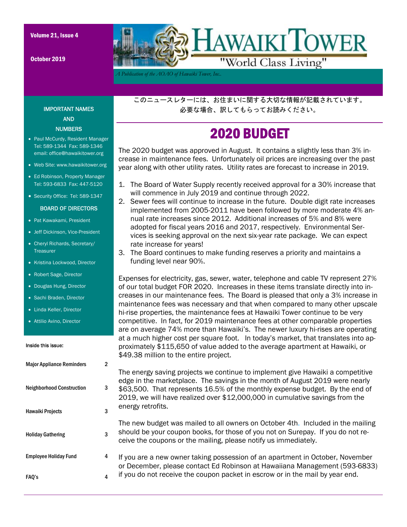October 2019



*A Publication of the AOAO of Hawaiki Tower, Inc..* 

このニュースレターには、お住まいに関する大切な情報が記載されています。 必要な場合、訳してもらってお読みください。

## 2020 BUDGET

The 2020 budget was approved in August. It contains a slightly less than 3% increase in maintenance fees. Unfortunately oil prices are increasing over the past year along with other utility rates. Utility rates are forecast to increase in 2019.

- 1. The Board of Water Supply recently received approval for a 30% increase that will commence in July 2019 and continue through 2022.
- 2. Sewer fees will continue to increase in the future. Double digit rate increases implemented from 2005-2011 have been followed by more moderate 4% annual rate increases since 2012. Additional increases of 5% and 8% were adopted for fiscal years 2016 and 2017, respectively. Environmental Services is seeking approval on the next six-year rate package. We can expect rate increase for years!
- 3. The Board continues to make funding reserves a priority and maintains a funding level near 90%.

Expenses for electricity, gas, sewer, water, telephone and cable TV represent 27% of our total budget FOR 2020. Increases in these items translate directly into increases in our maintenance fees. The Board is pleased that only a 3% increase in maintenance fees was necessary and that when compared to many other upscale hi-rise properties, the maintenance fees at Hawaiki Tower continue to be very competitive. In fact, for 2019 maintenance fees at other comparable properties are on average 74% more than Hawaiki's. The newer luxury hi-rises are operating at a much higher cost per square foot. In today's market, that translates into approximately \$115,650 of value added to the average apartment at Hawaiki, or \$49.38 million to the entire project.

The energy saving projects we continue to implement give Hawaiki a competitive edge in the marketplace. The savings in the month of August 2019 were nearly \$63,500. That represents 16.5% of the monthly expense budget. By the end of 2019, we will have realized over \$12,000,000 in cumulative savings from the energy retrofits.

The new budget was mailed to all owners on October 4th. Included in the mailing should be your coupon books, for those of you not on Surepay. If you do not receive the coupons or the mailing, please notify us immediately.

If you are a new owner taking possession of an apartment in October, November or December, please contact Ed Robinson at Hawaiiana Management (593-6833) if you do not receive the coupon packet in escrow or in the mail by year end.

#### IMPORTANT NAMES AND **NUMBERS**

- Paul McCurdy, Resident Manager Tel: 589-1344 Fax: 589-1346 email: office@hawaikitower.org
- Web Site: www.hawaikitower.org
- Ed Robinson, Property Manager Tel: 593-6833 Fax: 447-5120
- Security Office: Tel: 589-1347

#### BOARD OF DIRECTORS

- Pat Kawakami, President
- Jeff Dickinson, Vice-President
- Cheryl Richards, Secretary/ Treasurer
- Kristina Lockwood, Director
- Robert Sage, Director
- Douglas Hung, Director
- Sachi Braden, Director
- Linda Keller, Director
- Attilio Avino, Director

#### Inside this issue:

| <b>Major Appliance Reminders</b> | $\overline{2}$ |
|----------------------------------|----------------|
| <b>Neighborhood Construction</b> | 3              |
| <b>Hawaiki Projects</b>          | 3              |
| <b>Holiday Gathering</b>         | 3              |
| <b>Employee Holiday Fund</b>     | 4              |
| FAQ's                            | 4              |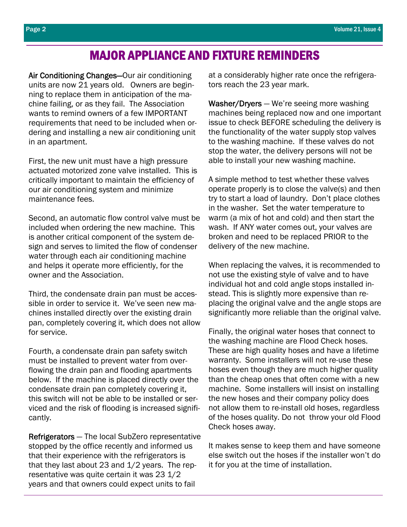## MAJOR APPLIANCE AND FIXTURE REMINDERS

Air Conditioning Changes—Our air conditioning units are now 21 years old. Owners are beginning to replace them in anticipation of the machine failing, or as they fail. The Association wants to remind owners of a few IMPORTANT requirements that need to be included when ordering and installing a new air conditioning unit in an apartment.

First, the new unit must have a high pressure actuated motorized zone valve installed. This is critically important to maintain the efficiency of our air conditioning system and minimize maintenance fees.

Second, an automatic flow control valve must be included when ordering the new machine. This is another critical component of the system design and serves to limited the flow of condenser water through each air conditioning machine and helps it operate more efficiently, for the owner and the Association.

Third, the condensate drain pan must be accessible in order to service it. We've seen new machines installed directly over the existing drain pan, completely covering it, which does not allow for service.

Fourth, a condensate drain pan safety switch must be installed to prevent water from overflowing the drain pan and flooding apartments below. If the machine is placed directly over the condensate drain pan completely covering it, this switch will not be able to be installed or serviced and the risk of flooding is increased significantly.

Refrigerators — The local SubZero representative stopped by the office recently and informed us that their experience with the refrigerators is that they last about 23 and 1/2 years. The representative was quite certain it was 23 1/2 years and that owners could expect units to fail

at a considerably higher rate once the refrigerators reach the 23 year mark.

Washer/Dryers — We're seeing more washing machines being replaced now and one important issue to check BEFORE scheduling the delivery is the functionality of the water supply stop valves to the washing machine. If these valves do not stop the water, the delivery persons will not be able to install your new washing machine.

A simple method to test whether these valves operate properly is to close the valve(s) and then try to start a load of laundry. Don't place clothes in the washer. Set the water temperature to warm (a mix of hot and cold) and then start the wash. If ANY water comes out, your valves are broken and need to be replaced PRIOR to the delivery of the new machine.

When replacing the valves, it is recommended to not use the existing style of valve and to have individual hot and cold angle stops installed instead. This is slightly more expensive than replacing the original valve and the angle stops are significantly more reliable than the original valve.

Finally, the original water hoses that connect to the washing machine are Flood Check hoses. These are high quality hoses and have a lifetime warranty. Some installers will not re-use these hoses even though they are much higher quality than the cheap ones that often come with a new machine. Some installers will insist on installing the new hoses and their company policy does not allow them to re-install old hoses, regardless of the hoses quality. Do not throw your old Flood Check hoses away.

It makes sense to keep them and have someone else switch out the hoses if the installer won't do it for you at the time of installation.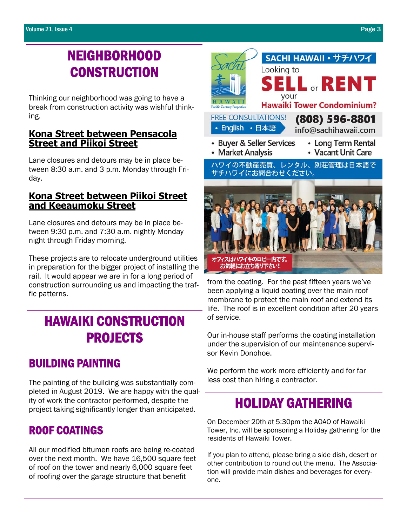# NEIGHBORHOOD **CONSTRUCTION**

Thinking our neighborhood was going to have a break from construction activity was wishful thinking.

### **Kona Street between Pensacola Street and Piikoi Street**

Lane closures and detours may be in place between 8:30 a.m. and 3 p.m. Monday through Friday.

### **Kona Street between Piikoi Street and Keeaumoku Street**

Lane closures and detours may be in place between 9:30 p.m. and 7:30 a.m. nightly Monday night through Friday morning.

These projects are to relocate underground utilities in preparation for the bigger project of installing the rail. It would appear we are in for a long period of construction surrounding us and impacting the traffic patterns.

## HAWAIKI CONSTRUCTION PROJECTS

### BUILDING PAINTING

The painting of the building was substantially completed in August 2019. We are happy with the quality of work the contractor performed, despite the project taking significantly longer than anticipated.

### ROOF COATINGS

All our modified bitumen roofs are being re-coated over the next month. We have 16,500 square feet of roof on the tower and nearly 6,000 square feet of roofing over the garage structure that benefit



from the coating. For the past fifteen years we've been applying a liquid coating over the main roof membrane to protect the main roof and extend its life. The roof is in excellent condition after 20 years of service.

Our in-house staff performs the coating installation under the supervision of our maintenance supervisor Kevin Donohoe.

We perform the work more efficiently and for far less cost than hiring a contractor.

## HOLIDAY GATHERING

On December 20th at 5:30pm the AOAO of Hawaiki Tower, Inc. will be sponsoring a Holiday gathering for the residents of Hawaiki Tower.

If you plan to attend, please bring a side dish, desert or other contribution to round out the menu. The Association will provide main dishes and beverages for everyone.